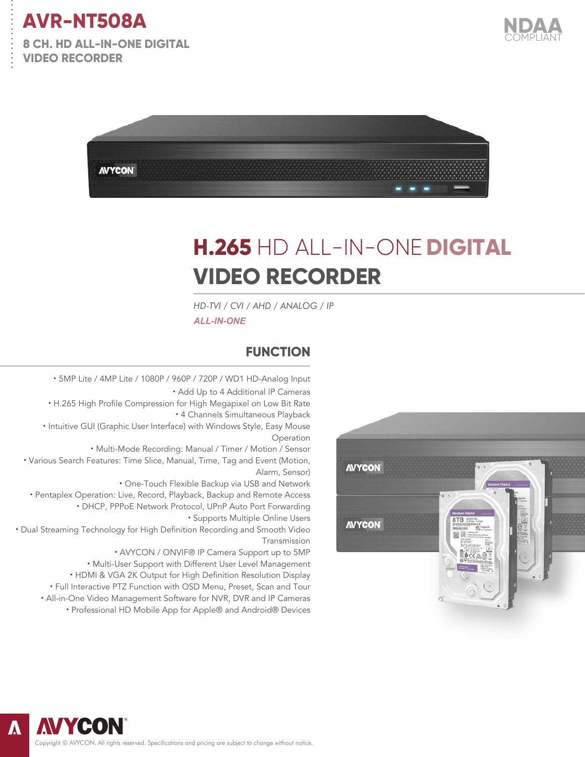

. . . . . . . . . . . . . . .

**8 CH. HD ALL-IN-ONE DIGITAL VIDEO RECORDER** 





# **H.265** HD ALL-IN-ONE **DIGITAL VIDEO RECORDER**

*HD-TVI / CVI / AHD / ANALOG / IP ALL-IN-ONE*

#### **FUNCTION**

**·** 5MP Lite / 4MP Lite / 1080P / 960P / 720P / WD1 HD-Analog Input **·** Add Up to 4 Additional IP Cameras **·** H.265 High Profile Compression for High Megapixel on Low Bit Rate **·** 4 Channels Simultaneous Playback **·** Intuitive GUI (Graphic User Interface) with Windows Style, Easy Mouse Operation **·** Multi-Mode Recording: Manual / Timer / Motion / Sensor **·** Various Search Features: Time Slice, Manual, Time, Tag and Event (Motion, Alarm, Sensor) **·** One-Touch Flexible Backup via USB and Network **·** Pentaplex Operation: Live, Record, Playback, Backup and Remote Access **·** DHCP, PPPoE Network Protocol, UPnP Auto Port Forwarding **·** Supports Multiple Online Users **·** Dual Streaming Technology for High Definition Recording and Smooth Video Transmission **·** AVYCON / ONVIF® IP Camera Support up to 5MP **·** Multi-User Support with Different User Level Management **·** HDMI & VGA 2K Output for High Definition Resolution Display

**·** Full Interactive PTZ Function with OSD Menu, Preset, Scan and Tour **·** All-in-One Video Management Software for NVR, DVR and IP Cameras

**·** Professional HD Mobile App for Apple® and Android® Devices





Copyright © AVYCON. All rights reserved. Specifications and pricing are subject to change without notice.